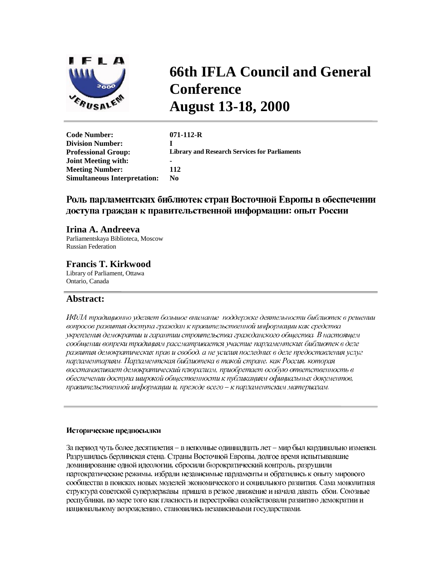

# **66th IFLA Council and General Conference August 13-18, 2000**

| <b>Code Number:</b>                 | $071 - 112 - R$                                      |
|-------------------------------------|------------------------------------------------------|
| <b>Division Number:</b>             |                                                      |
| <b>Professional Group:</b>          | <b>Library and Research Services for Parliaments</b> |
| <b>Joint Meeting with:</b>          |                                                      |
| <b>Meeting Number:</b>              | 112                                                  |
| <b>Simultaneous Interpretation:</b> | No.                                                  |
|                                     |                                                      |

## Роль парламентских библиотек стран Восточной Европы в обеспечении доступа граждан к правительственной информации: опыт России

### **Irina A. Andreeva**

Parliamentskaya Biblioteca, Moscow Russian Federation

## **Francis T. Kirkwood**

Library of Parliament, Ottawa Ontario, Canada

## **Abstract:**

ИФЛА традиционно уделяет большое внимание поддержке деятельности библиотек в решении вопросов развития доступа граждан к правительственной информации как средства укрепления демократии и гарантии строительства гражданского общества. В настоящем сообщении вопреки традициям рассматривается участие парламентских библиотек в деле развития демократических прав и свобод, а не усилия последних в деле предоставления услуг парламентариям. Парламентская библиотека в такой стране, как Россия, которая восстанавливает демократический плюрализм, приобретает особую ответственность в обеспечении доступа широкой общественности к публикашиям официальных документов, правительственной информации и, прежде всего - к парламентским материалам.

#### Исторические предпосылки

За период чуть более десятилетия - в неполные одиннадцать лет - мир был кардинально изменен. Разрушилась берлинская стена. Страны Восточной Европы, долгое время испытывавшие доминирование одной идеологии, сбросили бюрократический контроль, разрушили партократические режимы, избрали независимые парламенты и обратились к опыту мирового сообщества в поисках новых моделей экономического и социального развития. Сама монолитная структура советской супердержавы пришла в резкое движение и начала давать сбои. Союзные республики, по мере того как гласность и перестройка содействовали развитию демократии и национальному возрождению, становились независимыми государствами.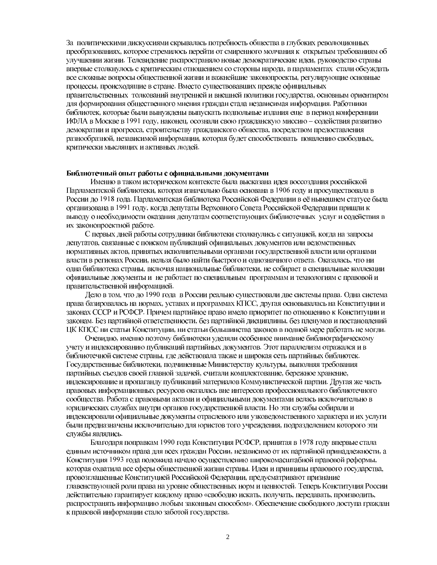За политическими дискуссиями скрывалась потребность общества в глубоких революционных преобразованиях, которое стремилось перейти от смиренного молчания к открытым требованиям об улучшении жизни. Телевидение распространяло новые демократические идеи, руководство страны впервые столкнулось с критическим отношением со стороны народа, в парламентах стали обсуждать все сложные вопросы общественной жизни и важнейшие законопроекты, регулирующие основные процессы, происходящие в стране. Вместо существовавших прежде официальных правительственных толкований внутренней и внешней политики государства, основным ориентиром для формирования общественного мнения граждан стала независимая информация. Работники библиотек, которые были вынуждены выпускать подпольные издания еще в период конференции ИФЛА в Москве в 1991 году, наконец, осознали свою гражданскую миссию – содействия развитию демократии и прогресса, строительству гражданского общества, посредством предоставления разнообразной, независимой информации, которая будет способствовать появлению свободных, критически мыслящих и активных людей.

#### Библиотечный опыт работы с официальными документами

Именно в таком историческом контексте была высказана идея воссоздания российской Парламентской библиотеки, которая изначально была основана в 1906 году и просуществовала в России до 1918 года. Парламентская библиотека Российской Федерации в её нынешнем статусе была организована в 1991 году, когда депутаты Верховного Совета Российской Федерации пришли к выводу о необходимости оказания депутатам соответствующих библиотечных услуг и содействия в их законопроектной работе.

С первых дней работы сотрудники библиотеки столкнулись с ситуацией, когда на запросы депутатов, связанные с поиском публикаций официальных документов или ведомственных нормативных актов, принятых исполнительными органами государственной власти или органами власти в регионах России, нельзя было найти быстрого и однозначного ответа. Оказалась, что ни одна библиотека страны, включая национальные библиотеки, не собирает в специальные коллекции официальные документы и не работает по специальным программам и технологиям с правовой и правительственной информацией.

Дело в том, что до 1990 года в России реально существовали две системы права. Одна система права базировалась на нормах, уставах и программах КПСС, другая основывалась на Конституции и законах СССР и РСФСР. Причем партийное право имело приоритет по отношению к Конституции и законам. Без партийной ответственности, без партийной дисциплины, без пленумов и постановлений ЦК КПСС ни статьи Конституции, ни статьи большинства законов в полной мере работать не могли.

Очевидно, именно поэтому библиотеки уделяли особенное внимание библиографическому учету и индексированию публикаций партийных документов. Этот параллелизм отражался и в библиотечной системе страны, где действовала также и широкая сеть партийных библиотек. Государственные библиотеки, подчиненные Министерству культуры, выполняя требования партийных съездов своей главной задачей, считали комплектование, бережное хранение, индексирование и пропаганду публикаций материалов Коммунистической партии. Другая же часть правовых информационных ресурсов оказалась вне интересов профессионального библиотечного сообщества. Работа с правовыми актами и официальными документами велась исключительно в юридических службах внутри органов государственной власти. Но эти службы собирали и индексировали официальные документы отраслевого или узковедомственного характера и их услуги были предназначены исключительно для юристов того учреждения, подразделением которого эти службы являлись.

Благодаря поправкам 1990 года Конституция РСФСР, принятая в 1978 году впервые стала единым источником права для всех граждан России, независимо от их партийной принадлежности, а Конституция 1993 года положила начало осуществлению широкомасштабной правовой реформы, которая охватила все сферы общественной жизни страны. Идеи и принципы правового государства, провозглашенные Конституцией Российской Федерации, предусматривают признание главенствующей роли права на уровне общественных норм и ценностей. Теперь Конституция России действительно гарантирует каждому право «свободно искать, получать, передавать, производить, распространять информацию любым законным способом». Обеспечение свободного доступа граждан к правовой информации стало заботой государства.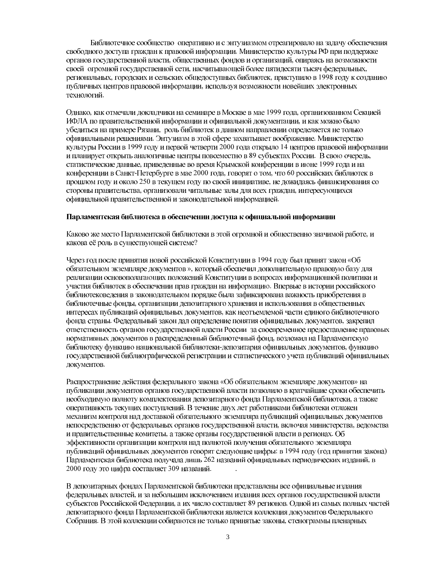Библиотечное сообщество оперативно и с энтузиазмом отреагировало на задачу обеспечения свободного доступа граждан к правовой информации. Министерство культуры РФ при поддержке органов государственной власти, общественных фондов и организаций, опираясь на возможности своей огромной государственной сети, насчитывающей более пятидесяти тысяч федеральных, региональных, городских и сельских общедоступных библиотек, приступило в 1998 году к созданию публичных центров правовой информации, используя возможности новейших электронных технологий.

Однако, как отмечали докладчики на семинаре в Москве в мае 1999 года, организованном Секцией ИФЛА по правительственной информации и официальной документации, и как можно было убедиться на примере Рязани, роль библиотек в данном направлении определяется не только официальными решениями. Энтузиазм в этой сфере захватывает воображение. Министерство культуры России в 1999 году и первой четверти 2000 года открыло 14 центров правовой информации и планирует открыть аналогичные центры повсеместно в 89 субъектах России. В свою очередь, статистические данные, приведенные во время Крымской конференции в июне 1999 года и на конференции в Санкт-Петербурге в мае 2000 года, говорят о том, что 60 российских библиотек в прошлом году и около 250 в текущем году по своей инициативе, не дожидаясь финансирования со стороны правительства, организовали читальные залы для всех граждан, интересующихся официальной правительственной и законодательной информацией.

#### Парламентская библиотека в обеспечении доступа к официальной информации

Каково же место Парламентской библиотеки в этой огромной и общественно значимой работе, и какова её роль в существующей системе?

Через год после принятия новой российской Конституции в 1994 году был принят закон «Об обязательном экземпляре документов », который обеспечил дополнительную правовую базу для реализации основополагающих положений Конституции в вопросах информационной политики и участия библиотек в обеспечении прав граждан на информацию. Впервые в истории российского библиотековедения в законодательном порядке была зафиксирована важность приобретения в библиотечные фонды, организации депозитарного хранения и использования в общественных интересах публикаций официальных документов, как неотъемлемой части единого библиотечного фонда страны. Федеральный закон дал определение понятия официальных документов, закрепил ответственность органов государственной власти России за своевременное предоставление правовых нормативных документов в распределенный библиотечный фонд, возложил на Парламентскую библиотеку функцию национальной библиотеки-депозитария официальных документов, функцию государственной библиографической регистрации и статистического учета публикаций официальных документов.

Распространение действия федерального закона «Об обязательном экземпляре документов» на публикации документов органов государственной власти позволило в кратчайшие сроки обеспечить необходимую полноту комплектования депозитарного фонда Парламентской библиотеки, а также оперативность текущих поступлений. В течение двух лет работниками библиотеки отлажен механизм контроля над доставкой обязательного экземпляра публикаций официальных документов непосредственно от федеральных органов государственной власти, включая министерства, ведомства и правительственные комитеты, а также органы государственной власти в регионах. Об эффективности организации контроля над полнотой получения обязательного экземпляра публикаций официальных документов говорят следующие цифры: в 1994 году (год принятия закона) Парламентская библиотека получала лишь 262 названий официальных периодических изданий, в 2000 году это цифра составляет 309 названий.

В депозитарных фондах Парламентской библиотеки представлены все официальные издания федеральных властей, и за небольшим исключением издания всех органов государственной власти субъектов Российской Федерации, а их число составляет 89 регионов. Одной из самых полных частей депозитарного фонда Парламентской библиотеки является коллекция документов Федерального Собрания. В этой коллекции собираются не только принятые законы, стенограммы пленарных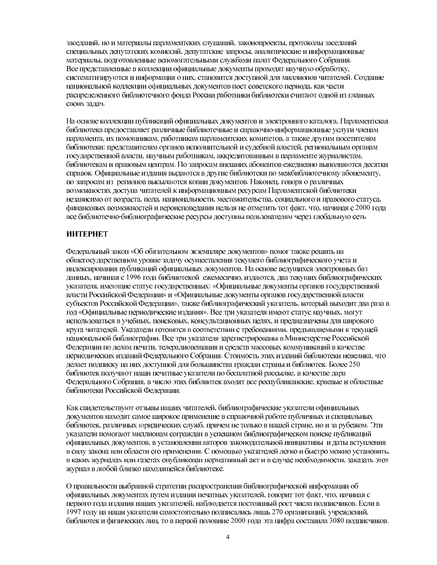заседаний, но и материалы парламентских слушаний, законопроекты, протоколы заседаний специальных депутатских комиссий, депутатские запросы, аналитические и информационные материалы, подготовленные вспомогательными службами палат Федерального Собрания. Все представленные в коллекции официальные документы проходят научную обработку, систематизируются и информация о них, становится доступной для миллионов читателей. Создание национальной коллекции официальных документов пост советского периода, как части распределенного библиотечного фонда России работники библиотеки считают одной из главных своих задач.

На основе коллекции публикаций официальных документов и электронного каталога, Парламентская библиотека предоставляет различные библиотечные и справочно-информационные услуги членам парламента, их помощникам, работникам парламентских комитетов, а также другим посетителям библиотеки: представителям органов исполнительной и судебной властей, региональным органам государственной власти, научным работникам, аккредитованным в парламенте журналистам, библиотекам и правовым центрам. По запросам внешних абонентов ежедневно выполняются десятки справок. Официальные издания выдаются в другие библиотеки по межбиблиотечному абонементу, по запросам из регионов высылаются копии документов. Наконец, говоря о различных возможностях доступа читателей к информационным ресурсам Парламентской библиотеки независимо от возраста, пола, национальности, местожительства, социального и правового статуса, финансовых возможностей и вероисповедания нельзя не отметить тот факт, что, начиная с 2000 года все библиотечно-библиографические ресурсы доступны пользователям через глобальную сеть

## **ИНТЕРНЕТ**

Федеральный закон «Об обязательном экземпляре документов» помог также решить на общегосударственном уровне задачу осуществления текущего библиографического учета и индексирования публикаций официальных документов. На основе ведущихся электронных баз данных, начиная с 1996 года библиотекой ежемесячно, издаются, два текущих библиографических указателя, имеющие статус государственных: «Официальные документы органов государственной власти Российской Федерации» и «Официальные документы органов государственной власти субъектов Российской Федерации», также библиографический указатель, который выходит два раза в год «Официальные периодические издания». Все три указателя имеют статус научных, могут использоваться в учебных, поисковых, консультационных целях, и предназначены для широкого круга читателей. Указатели готовятся в соответствии с требованиями, предъявляемыми к текущей национальной библиографии. Все три указателя зарегистрированы в Министерстве Российской Федерации по делам печати, телерадиовещания и средств массовых коммуникаций в качестве периодических изданий Федерального Собрания. Стоимость этих изданий библиотеки невелика, что делает подписку на них доступной для большинства граждан страны и библиотек. Более 250 библиотек получают наши печатные указатели по бесплатной рассылке, в качестве дара Федерального Собрания, в число этих библиотек входят все республиканские, краевые и областные библиотеки Российской Федерации.

Как свидетельствуют отзывы наших читателей, библиографические указатели официальных документов находят самое широкое применение в справочной работе публичных и специальных библиотек, различных юридических служб, причем не только в нашей стране, но и за рубежом. Эти указатели помогают миллионам сограждан в успешном библиографическом поиске публикаций официальных документов, в установлении авторов законодательной инициативы и даты вступления в силу закона или области его применения. С помощью указателей легко и быстро можно установить, в каких журналах или газетах опубликован нормативный акт и в случае необходимости, заказать этот журнал в любой близко находящейся библиотеке.

О правильности выбранной стратегии распространения библиографической информации об официальных документах путем издания печатных указателей, говорит тот факт, что, начиная с первого года издания наших указателей, наблюдается постоянный рост числа подписчиков. Если в 1997 году на наши указатели самостоятельно подписались лишь 270 организаций, учреждений, библиотек и физических лиц, то в первой половине 2000 года эта цифра составила 3080 подписчиков.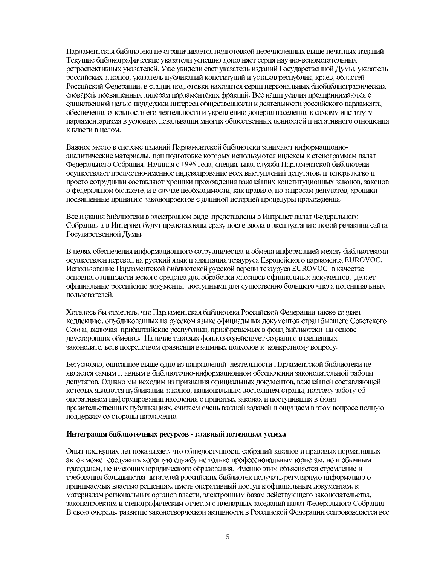Парламентская библиотека не ограничивается подготовкой перечисленных выше печатных изданий. Текущие библиографические указатели успешно дополняет серия научно-вспомогательных ретроспективных указателей. Уже увидели свет указатель изданий Государственной Думы, указатель российских законов, указатель публикаций конституций и уставов республик, краев, областей Российской Федерации, в стадии подготовки находится серии персональных биобиблиографических словарей, посвященных лидерам парламентских фракций. Все наши усилия предпринимаются с единственной целью поддержки интереса общественности к деятельности российского парламента, обеспечения открытости его деятельности и укреплению доверия населения к самому институту парламентаризма в условиях девальвации многих общественных ценностей и негативного отношения к власти в целом.

Важное место в системе изданий Парламентской библиотеки занимают информационноаналитические материалы, при подготовке которых используются индексы к стенограммам палат Федерального Собрания. Начиная с 1996 года, специальная служба Парламентской библиотеки осуществляет предметно-именное индексирование всех выступлений депутатов, и теперь легко и просто сотрудники составляют хроники прохождения важнейших конституционных законов, законов о федеральном бюджете, и в случае необходимости, как правило, по запросам депутатов, хроники посвященные принятию законопроектов с длинной историей процедуры прохождения.

Все издания библиотеки в электронном виде представлены в Интранет палат Федерального Собрания, а в Интернет будут представлены сразу после ввода в эксплуатацию новой редакции сайта Государственной Думы.

В целях обеспечения информационного сотрудничества и обмена информацией между библиотеками осуществлен перевод на русский язык и адаптация тезауруса Европейского парламента EUROVOC. Использование Парламентской библиотекой русской версии тезауруса EUROVOC в качестве основного лингвистического средства для обработки массивов официальных документов, делает официальные российские документы доступными для существенно большего числа потенциальных пользователей.

Хотелось бы отметить, что Парламентская библиотека Российской Федерации также создает коллекцию, опубликованных на русском языке официальных документов стран бывшего Советского Союза, включая прибалтийские республики, приобретаемых в фонд библиотеки на основе двусторонних обменов. Наличие таковых фондов содействует созданию взвешенных законодательств посредством сравнения взаимных подходов к конкретному вопросу.

Безусловно, описанное выше одно из направлений деятельности Парламентской библиотеки не является самым главным в библиотечно-информационном обеспечении законодательной работы депутатов. Однако мы исходим из признания официальных документов, важнейшей составляющей которых являются публикации законов, национальным достоянием страны, поэтому заботу об оперативном информировании населения о принятых законах и поступивших в фонд правительственных публикациях, считаем очень важной задачей и ощущаем в этом вопросе полную поддержку со стороны парламента.

#### Интеграция библиотечных ресурсов - главный потенциал успеха

Опыт последних лет показывает, что общедоступность собраний законов и правовых нормативных актов может сослужить хорошую службу не только профессиональным юристам, но и обычным гражданам, не имеющих юридического образования. Именно этим объясняется стремление и требования большинства читателей российских библиотек получать регулярную информацию о принимаемых властью решениях, иметь оперативный доступ к официальным документам, к материалам региональных органов власти, электронным базам действующего законодательства, законопроектам и стенографическим отчетам с пленарных заседаний палат Федерального Собрания. В свою очередь, развитие законотворческой активности в Российской Федерации сопровождается все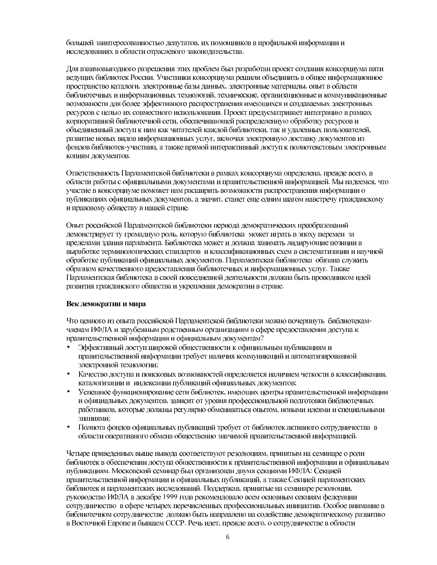большей заинтересованностью депутатов, их помощников в профильной информации и исследованиях в области отраслевого законодательства.

Для взаимовыгодного разрешения этих проблем был разработан проект создания консорциума пяти ведущих библиотек России. Участники консорциума решили объединить в общее информационное пространство каталоги, электронные базы данных, электронные материалы, опыт в области библиотечных и информационных технологий, технические, организационные и коммуникационные возможности для более эффективного распространения имеющихся и создаваемых электронных ресурсов с целью их совместного использования. Проект предусматривает интеграцию в рамках корпоративной библиотечной сети, обеспечивающей распределенную обработку ресурсов и объединенный доступ к ним как читателей каждой библиотеки, так и удаленных пользователей, развитие новых видов информационных услуг, включая электронную доставку документов из фондов библиотек-участниц, а также прямой интерактивный доступ к полнотекстовым электронным копиям документов.

Ответственность Парламентской библиотеки в рамках консорциума определена, прежде всего, в области работы с официальными документами и правительственной информацией. Мы надеемся, что участие в консорциуме поможет нам расширить возможности распространения информации о публикациях официальных документов, а значит, станет еще одним шагом навстречу гражданскому и правовому обществу в нашей стране.

Опыт российской Парламентской библиотеки периода демократических преобразований демонстрирует ту громадную роль, которую библиотека может играть в эпоху перемен за пределами здания парламента. Библиотека может и должна занимать лидирующие позиции в выработке терминологических стандартов и классификационных схем в систематизации и научной обработке публикаций официальных документов. Парламентская библиотека обязана служить образцом качественного предоставления библиотечных и информационных услуг. Также Парламентская библиотека в своей повседневной деятельности должна быть проводником идей развития гражданского общества и укрепления демократии в стране.

#### Век демократии и мира

Что ценного из опыта российской Парламентской библиотеки можно почерпнуть библиотекамчленам ИФЛА и зарубежным родственным организациям в сфере предоставления доступа к правительственной информации и официальным документам?

- Эффективный доступ широкой общественности к официальным публикациям и правительственной информации требует наличия коммуникаций и автоматизированной электронной технологии;
- Качество доступа и поисковых возможностей определяется наличием четкости в классификации, каталогизации и индексации публикаций официальных документов;
- Успешное функционирование сети библиотек, имеющих центры правительственной информации  $\bullet$ и официальных документов, зависит от уровня профессиональной подготовки библиотечных работников, которые должны регулярно обмениваться опытом, новыми идеями и специальными знаниями:
- Полнота фондов официальных публикаций требует от библиотек активного сотрудничества в области оперативного обмена общественно значимой правительственной информацией.

Четыре приведенных выше вывода соответствуют резолюциям, принятым на семинаре о роли библиотек в обеспечении доступа общественности к правительственной информации и официальным публикациям. Московский семинар был организован двумя секциями ИФЛА: Секцией правительственной информации и официальных публикаций, а также Секцией парламентских библиотек и парламентских исследований. Поддержав, принятые на семинаре резолюции, руководство ИФЛА в декабре 1999 года рекомендовало всем основным секциям федерации сотрудничество в сфере четырех перечисленных профессиональных инициатив. Особое внимание в библиотечном сотрудничестве должно быть направлено на содействие демократическому развитию в Восточной Европе и бывшем СССР. Речь идет, прежде всего, о сотрудничестве в области